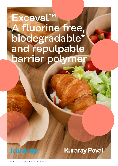# Exceval™ A fluorine free, biodegradable\* and repulpable barrier polymer

**Kuraray Poval™** 

kuraray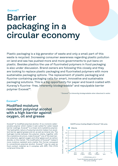### Exceval™

# Barrier packaging in a circular economy

Plastic packaging is a big generator of waste and only a small part of this waste is recycled. Increasing consumer awareness regarding plastic pollution on land and sea has pushed more and more governments to put bans on plastic. Besides plastics the use of fluorinated polymers in food packaging is also under discussion. Brand owners are following this closely and they are looking to replace plastic packaging and fluorinated polymers with more sustainable packaging options. The replacement of plastic packaging and fluorine-containing packaging calls for smart, innovative and sustainable packaging solutions. This is a big opportunity for paper and board coated with Kuraray's fluorine- free, inherently biodegradable\* and repulpable barrier polymer Exceval™.

*\* Exceval™ is inherently biodegradable when dissolved in water.*

### Exceval™

Modified moisture resistant polyvinyl alcohol with a high barrier against oxygen, oil and grease

Exceval™ is modified polyvinyl alcohol. It is a nonionic watersoluble polymer which makes it well suited for water-based barrier coatings. Exceval™ is a linear and crystalline polymer. The hydrophilic nature of polyvinyl alcohol makes it an excellent barrier against grease and oil, as well as mineral oils. The hydrogen bonds between the polymer chains, together with the crystalline structure, make Exceval™ one of the best barrier polymers, against oxygen and other gases such as carbon dioxide, on the market. The modification of Exceval™ makes it more moisture resistant and a better film former compared to conventional polyvinyl alcohol. Exceval™ may be used as food contact material as it complies with BfR, FDA (FCN 1179) and China GB.



*AQ-4104 coating*

*O2GTR versus Coating Weight of Exceval™ AQ-4104*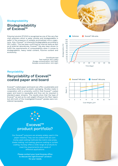### Biodegradability

### Biodegradability of Exceval™

Polyvinyl alcohol (PVOH) is recognized as one of the very few vinyl polymers which is water soluble and biodegradable in water in the presence of suitably acclimatized micro-organisms. Also, Exceval™ is inherently biodegradable according to ISO 14851. This has been confirmed by internal tests as well as at external laboratories. Exceval™ has also been shown to fulfill the requirements of compostability when it comes to biodegradation, heavy metal content, fluorine content and ecotoxicity.

> *Certificate test Test method: ISO 14851 Sludge concentration: 100 mg/L Sample concentration: 100 mg/L*

### **Recyclability**

## Recyclability of Exceval™ coated paper and board

Exceval™ coated paper and board can offer a sustainable and recyclable alternative to plastic packaging. Studies made in cooperation with a university confirm that Exceval™ coated paper and board is repulpable and thus can be recycled in standard paper streams. The results show that the type of Exceval™ as well as its coat weight influence the fiber reject, but still both of the investigated Exceval™ grades were considered repulpable.







## Exceval™ product portfolio?

Our Exceval™ polymers are already widely used in the paper industry. They can be coated with all commonly used coating methods like metric size press, blade coating, rod coating, gravure coating or curtain coating. Kuraray offers a wide range of products to meet the requirements and needs of different applications.

> Please contact your local Kuraray office to discuss the right Exceval™ product for your needs.